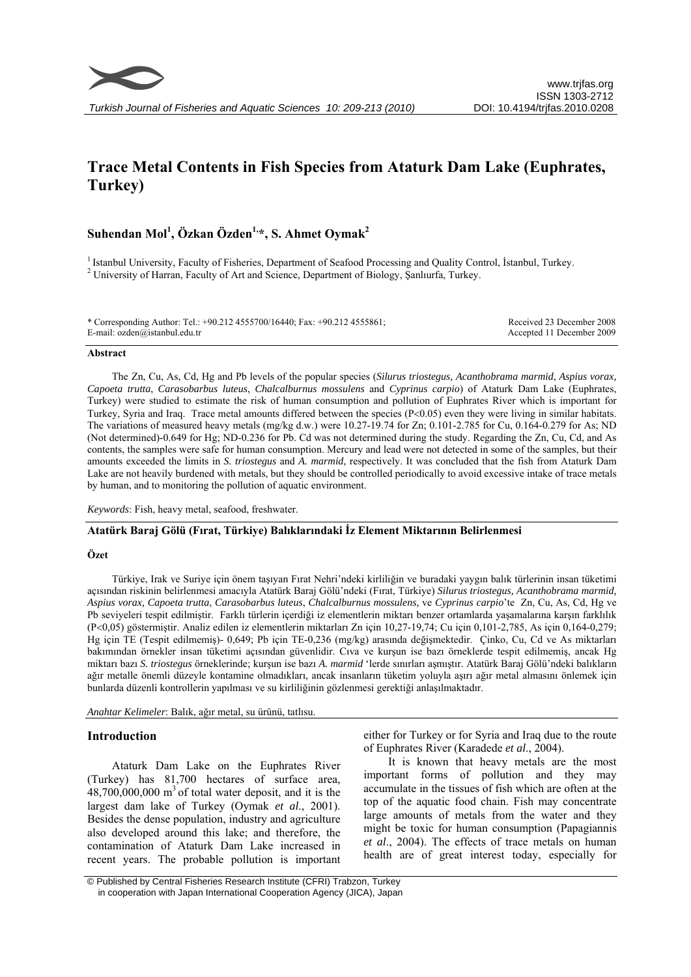

# **Trace Metal Contents in Fish Species from Ataturk Dam Lake (Euphrates, Turkey)**

# **Suhendan Mol<sup>1</sup> , Özkan Özden1,\*, S. Ahmet Oymak2**

<sup>1</sup> Istanbul University, Faculty of Fisheries, Department of Seafood Processing and Quality Control, İstanbul, Turkey. University of Harran, Faculty of Art and Science, Department of Biology, Şanlıurfa, Turkey.

| * Corresponding Author: Tel.: +90.212 4555700/16440; Fax: +90.212 4555861; | Received 23 December 2008 |
|----------------------------------------------------------------------------|---------------------------|
| E-mail: $ozden(\widehat{a})$ istanbul.edu.tr                               | Accepted 11 December 2009 |

#### **Abstract**

The Zn, Cu, As, Cd, Hg and Pb levels of the popular species (*Silurus triostegus, Acanthobrama marmid*, *Aspius vorax, Capoeta trutta*, *Carasobarbus luteus*, *Chalcalburnus mossulens* and *Cyprinus carpio*) of Ataturk Dam Lake (Euphrates, Turkey) were studied to estimate the risk of human consumption and pollution of Euphrates River which is important for Turkey, Syria and Iraq. Trace metal amounts differed between the species (P<0.05) even they were living in similar habitats. The variations of measured heavy metals (mg/kg d.w.) were 10.27-19.74 for Zn; 0.101-2.785 for Cu, 0.164-0.279 for As; ND (Not determined)-0.649 for Hg; ND-0.236 for Pb. Cd was not determined during the study. Regarding the Zn, Cu, Cd, and As contents, the samples were safe for human consumption. Mercury and lead were not detected in some of the samples, but their amounts exceeded the limits in *S. triostegus* and *A. marmid*, respectively. It was concluded that the fish from Ataturk Dam Lake are not heavily burdened with metals, but they should be controlled periodically to avoid excessive intake of trace metals by human, and to monitoring the pollution of aquatic environment.

*Keywords*: Fish, heavy metal, seafood, freshwater.

### **Atatürk Baraj Gölü (Fırat, Türkiye) Balıklarındaki İz Element Miktarının Belirlenmesi**

## **Özet**

Türkiye, Irak ve Suriye için önem taşıyan Fırat Nehri'ndeki kirliliğin ve buradaki yaygın balık türlerinin insan tüketimi açısından riskinin belirlenmesi amacıyla Atatürk Baraj Gölü'ndeki (Fırat, Türkiye) *Silurus triostegus, Acanthobrama marmid, Aspius vorax, Capoeta trutta*, *Carasobarbus luteus*, *Chalcalburnus mossulens,* ve *Cyprinus carpio*'te Zn, Cu, As, Cd, Hg ve Pb seviyeleri tespit edilmiştir. Farklı türlerin içerdiği iz elementlerin miktarı benzer ortamlarda yaşamalarına karşın farklılık (P<0,05) göstermiştir. Analiz edilen iz elementlerin miktarları Zn için 10,27-19,74; Cu için 0,101-2,785, As için 0,164-0,279; Hg için TE (Tespit edilmemiş)- 0,649; Pb için TE-0,236 (mg/kg) arasında değişmektedir. Çinko, Cu, Cd ve As miktarları bakımından örnekler insan tüketimi açısından güvenlidir. Cıva ve kurşun ise bazı örneklerde tespit edilmemiş, ancak Hg miktarı bazı *S. triostegus* örneklerinde; kurşun ise bazı *A. marmid* 'lerde sınırları aşmıştır. Atatürk Baraj Gölü'ndeki balıkların ağır metalle önemli düzeyle kontamine olmadıkları, ancak insanların tüketim yoluyla aşırı ağır metal almasını önlemek için bunlarda düzenli kontrollerin yapılması ve su kirliliğinin gözlenmesi gerektiği anlaşılmaktadır.

*Anahtar Kelimeler*: Balık, ağır metal, su ürünü, tatlısu.

#### **Introduction**

Ataturk Dam Lake on the Euphrates River (Turkey) has 81,700 hectares of surface area,  $48,700,000,000 \text{ m}^3$  of total water deposit, and it is the largest dam lake of Turkey (Oymak *et al*., 2001). Besides the dense population, industry and agriculture also developed around this lake; and therefore, the contamination of Ataturk Dam Lake increased in recent years. The probable pollution is important either for Turkey or for Syria and Iraq due to the route of Euphrates River (Karadede *et al*., 2004).

It is known that heavy metals are the most important forms of pollution and they may accumulate in the tissues of fish which are often at the top of the aquatic food chain. Fish may concentrate large amounts of metals from the water and they might be toxic for human consumption (Papagiannis *et al*., 2004). The effects of trace metals on human health are of great interest today, especially for

 <sup>©</sup> Published by Central Fisheries Research Institute (CFRI) Trabzon, Turkey in cooperation with Japan International Cooperation Agency (JICA), Japan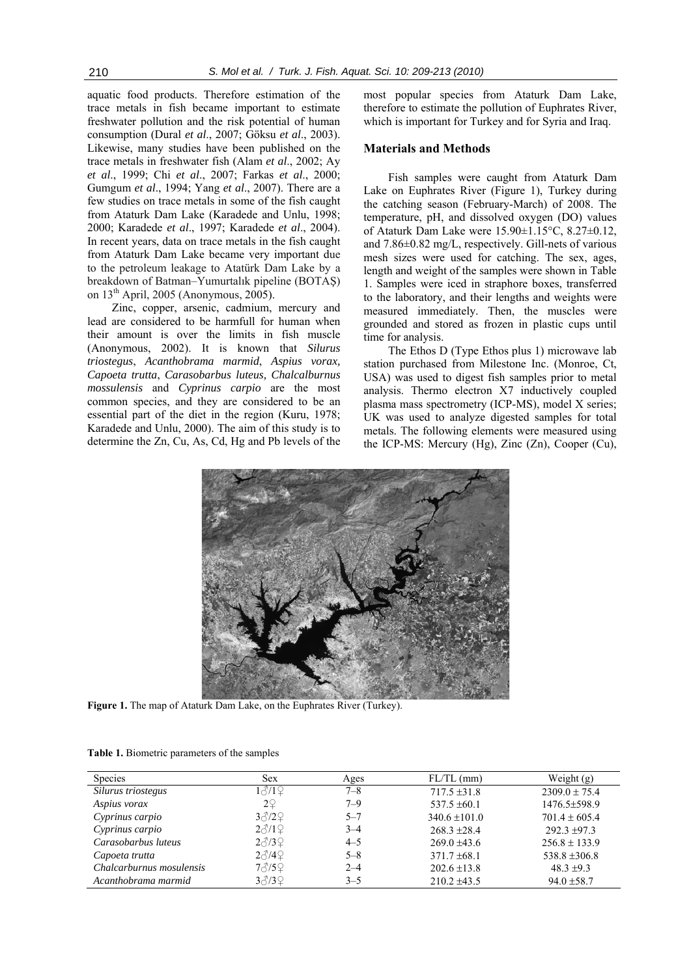aquatic food products. Therefore estimation of the trace metals in fish became important to estimate freshwater pollution and the risk potential of human consumption (Dural *et al*., 2007; Göksu *et al*., 2003). Likewise, many studies have been published on the trace metals in freshwater fish (Alam *et al*., 2002; Ay *et al*., 1999; Chi *et al*., 2007; Farkas *et al*., 2000; Gumgum *et al*., 1994; Yang *et al*., 2007). There are a few studies on trace metals in some of the fish caught from Ataturk Dam Lake (Karadede and Unlu, 1998; 2000; Karadede *et al*., 1997; Karadede *et al*., 2004). In recent years, data on trace metals in the fish caught from Ataturk Dam Lake became very important due to the petroleum leakage to Atatürk Dam Lake by a breakdown of Batman–Yumurtalık pipeline (BOTAŞ) on 13th April, 2005 (Anonymous, 2005).

Zinc, copper, arsenic, cadmium, mercury and lead are considered to be harmfull for human when their amount is over the limits in fish muscle (Anonymous, 2002). It is known that *Silurus triostegus*, *Acanthobrama marmid*, *Aspius vorax, Capoeta trutta*, *Carasobarbus luteus, Chalcalburnus mossulensis* and *Cyprinus carpio* are the most common species, and they are considered to be an essential part of the diet in the region (Kuru, 1978; Karadede and Unlu, 2000). The aim of this study is to determine the Zn, Cu, As, Cd, Hg and Pb levels of the most popular species from Ataturk Dam Lake, therefore to estimate the pollution of Euphrates River, which is important for Turkey and for Syria and Iraq.

### **Materials and Methods**

Fish samples were caught from Ataturk Dam Lake on Euphrates River (Figure 1), Turkey during the catching season (February-March) of 2008. The temperature, pH, and dissolved oxygen (DO) values of Ataturk Dam Lake were 15.90±1.15°C, 8.27±0.12, and 7.86±0.82 mg/L, respectively. Gill-nets of various mesh sizes were used for catching. The sex, ages, length and weight of the samples were shown in Table 1. Samples were iced in straphore boxes, transferred to the laboratory, and their lengths and weights were measured immediately. Then, the muscles were grounded and stored as frozen in plastic cups until time for analysis.

The Ethos D (Type Ethos plus 1) microwave lab station purchased from Milestone Inc. (Monroe, Ct, USA) was used to digest fish samples prior to metal analysis. Thermo electron X7 inductively coupled plasma mass spectrometry (ICP-MS), model X series; UK was used to analyze digested samples for total metals. The following elements were measured using the ICP-MS: Mercury (Hg), Zinc (Zn), Cooper (Cu),



**Figure 1.** The map of Ataturk Dam Lake, on the Euphrates River (Turkey).

|  | <b>Table 1.</b> Biometric parameters of the samples |
|--|-----------------------------------------------------|
|--|-----------------------------------------------------|

| <b>Species</b>           | <b>Sex</b>            | Ages    | $FL/TL$ (mm)      | Weight $(g)$      |
|--------------------------|-----------------------|---------|-------------------|-------------------|
| Silurus triostegus       | 18/12                 | $7 - 8$ | $717.5 \pm 31.8$  | $2309.0 \pm 75.4$ |
| Aspius vorax             | $2\sqrt{2}$           | $7 - 9$ | $537.5 \pm 60.1$  | 1476.5±598.9      |
| Cyprinus carpio          | $3\sqrt{3}/2$         | $5 - 7$ | $340.6 \pm 101.0$ | $701.4 \pm 605.4$ |
| Cyprinus carpio          | $2\sqrt{3}/1\sqrt{2}$ | $3 - 4$ | $268.3 + 28.4$    | $292.3 + 97.3$    |
| Carasobarbus luteus      | $2\sqrt{3}/3$         | $4 - 5$ | $269.0 + 43.6$    | $256.8 \pm 133.9$ |
| Capoeta trutta           | $2\sqrt{3}/4$         | $5 - 8$ | $371.7 \pm 68.1$  | $538.8 \pm 306.8$ |
| Chalcarburnus mosulensis | 73/59                 | $2 - 4$ | $202.6 \pm 13.8$  | $48.3 + 9.3$      |
| Acanthobrama marmid      | $3\sqrt{3}/3$         | $3 - 5$ | $210.2 \pm 43.5$  | $94.0 \pm 58.7$   |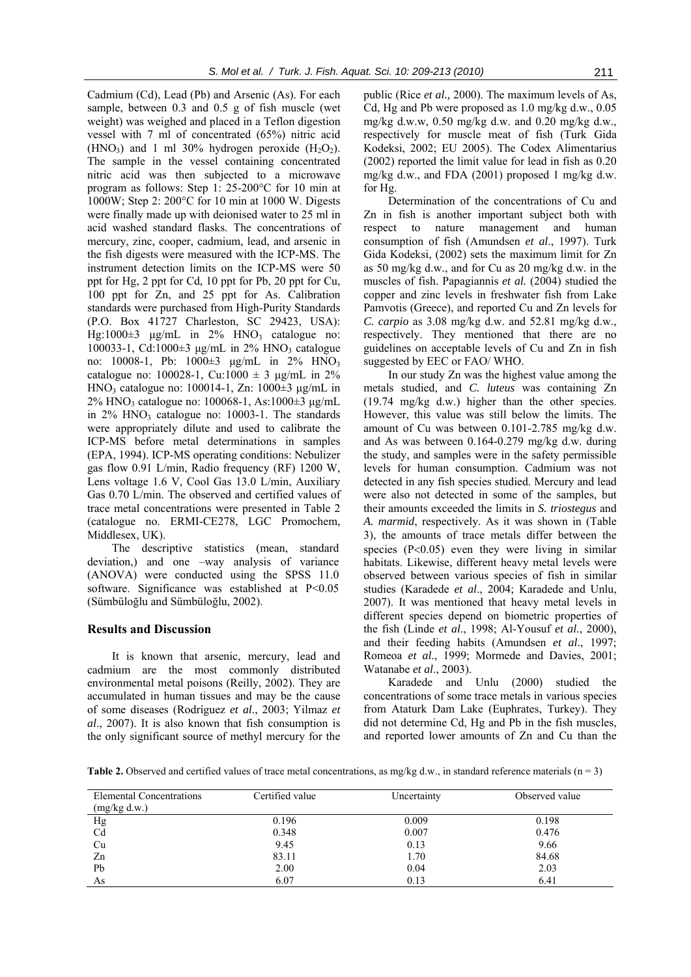Cadmium (Cd), Lead (Pb) and Arsenic (As). For each sample, between 0.3 and 0.5 g of fish muscle (wet weight) was weighed and placed in a Teflon digestion vessel with 7 ml of concentrated (65%) nitric acid (HNO<sub>3</sub>) and 1 ml 30% hydrogen peroxide  $(H_2O_2)$ . The sample in the vessel containing concentrated nitric acid was then subjected to a microwave program as follows: Step 1: 25-200°C for 10 min at 1000W; Step 2: 200°C for 10 min at 1000 W. Digests were finally made up with deionised water to 25 ml in acid washed standard flasks. The concentrations of mercury, zinc, cooper, cadmium, lead, and arsenic in the fish digests were measured with the ICP-MS. The instrument detection limits on the ICP-MS were 50 ppt for Hg, 2 ppt for Cd, 10 ppt for Pb, 20 ppt for Cu, 100 ppt for Zn, and 25 ppt for As. Calibration standards were purchased from High-Purity Standards (P.O. Box 41727 Charleston, SC 29423, USA): Hg:1000 $\pm$ 3 μg/mL in 2% HNO<sub>3</sub> catalogue no: 100033-1, Cd:1000 $\pm$ 3 μg/mL in 2% HNO<sub>3</sub> catalogue no: 10008-1, Pb: 1000±3 μg/mL in 2% HNO<sub>3</sub> catalogue no: 100028-1, Cu:1000  $\pm$  3 µg/mL in 2% HNO3 catalogue no: 100014-1, Zn: 1000±3 μg/mL in 2% HNO3 catalogue no: 100068-1, As:1000±3 μg/mL in  $2\%$  HNO<sub>3</sub> catalogue no: 10003-1. The standards were appropriately dilute and used to calibrate the ICP-MS before metal determinations in samples (EPA, 1994). ICP-MS operating conditions: Nebulizer gas flow 0.91 L/min, Radio frequency (RF) 1200 W, Lens voltage 1.6 V, Cool Gas 13.0 L/min, Auxiliary Gas 0.70 L/min. The observed and certified values of trace metal concentrations were presented in Table 2 (catalogue no. ERMI-CE278, LGC Promochem, Middlesex, UK).

The descriptive statistics (mean, standard deviation,) and one –way analysis of variance (ANOVA) were conducted using the SPSS 11.0 software. Significance was established at P<0.05 (Sümbüloğlu and Sümbüloğlu, 2002).

# **Results and Discussion**

It is known that arsenic, mercury, lead and cadmium are the most commonly distributed environmental metal poisons (Reilly, 2002). They are accumulated in human tissues and may be the cause of some diseases (Rodríguez *et al*., 2003; Yilmaz *et al*., 2007). It is also known that fish consumption is the only significant source of methyl mercury for the

public (Rice *et al.,* 2000). The maximum levels of As, Cd, Hg and Pb were proposed as 1.0 mg/kg d.w., 0.05 mg/kg d.w.w, 0.50 mg/kg d.w. and 0.20 mg/kg d.w., respectively for muscle meat of fish (Turk Gida Kodeksi, 2002; EU 2005). The Codex Alimentarius (2002) reported the limit value for lead in fish as 0.20 mg/kg d.w., and FDA (2001) proposed 1 mg/kg d.w. for Hg.

Determination of the concentrations of Cu and Zn in fish is another important subject both with respect to nature management and human consumption of fish (Amundsen *et al*., 1997). Turk Gida Kodeksi, (2002) sets the maximum limit for Zn as 50 mg/kg d.w., and for Cu as 20 mg/kg d.w. in the muscles of fish. Papagiannis *et al.* (2004) studied the copper and zinc levels in freshwater fish from Lake Pamvotis (Greece), and reported Cu and Zn levels for *C. carpio* as 3.08 mg/kg d.w. and 52.81 mg/kg d.w., respectively. They mentioned that there are no guidelines on acceptable levels of Cu and Zn in fish suggested by EEC or FAO/ WHO.

In our study Zn was the highest value among the metals studied, and *C. luteus* was containing Zn (19.74 mg/kg d.w.) higher than the other species. However, this value was still below the limits. The amount of Cu was between 0.101-2.785 mg/kg d.w. and As was between 0.164-0.279 mg/kg d.w. during the study, and samples were in the safety permissible levels for human consumption. Cadmium was not detected in any fish species studied. Mercury and lead were also not detected in some of the samples, but their amounts exceeded the limits in *S. triostegus* and *A. marmid*, respectively. As it was shown in (Table 3), the amounts of trace metals differ between the species  $(P<0.05)$  even they were living in similar habitats. Likewise, different heavy metal levels were observed between various species of fish in similar studies (Karadede *et al*., 2004; Karadede and Unlu, 2007). It was mentioned that heavy metal levels in different species depend on biometric properties of the fish (Linde *et al*., 1998; Al-Yousuf *et al.*, 2000), and their feeding habits (Amundsen *et al*., 1997; Romeoa *et al*., 1999; Mormede and Davies, 2001; Watanabe *et al*., 2003).

Karadede and Unlu (2000) studied the concentrations of some trace metals in various species from Ataturk Dam Lake (Euphrates, Turkey). They did not determine Cd, Hg and Pb in the fish muscles, and reported lower amounts of Zn and Cu than the

**Table 2.** Observed and certified values of trace metal concentrations, as mg/kg d.w., in standard reference materials ( $n = 3$ )

| <b>Elemental Concentrations</b><br>(mg/kg d.w.) | Certified value | Uncertainty | Observed value |  |
|-------------------------------------------------|-----------------|-------------|----------------|--|
| Hg                                              | 0.196           | 0.009       | 0.198          |  |
| Cd                                              | 0.348           | 0.007       | 0.476          |  |
|                                                 | 9.45            |             | 9.66           |  |
| Cu                                              |                 | 0.13        |                |  |
| Zn                                              | 83.11           | 1.70        | 84.68          |  |
| Pb                                              | 2.00            | 0.04        | 2.03           |  |
| As                                              | 6.07            | 0.13        | 6.41           |  |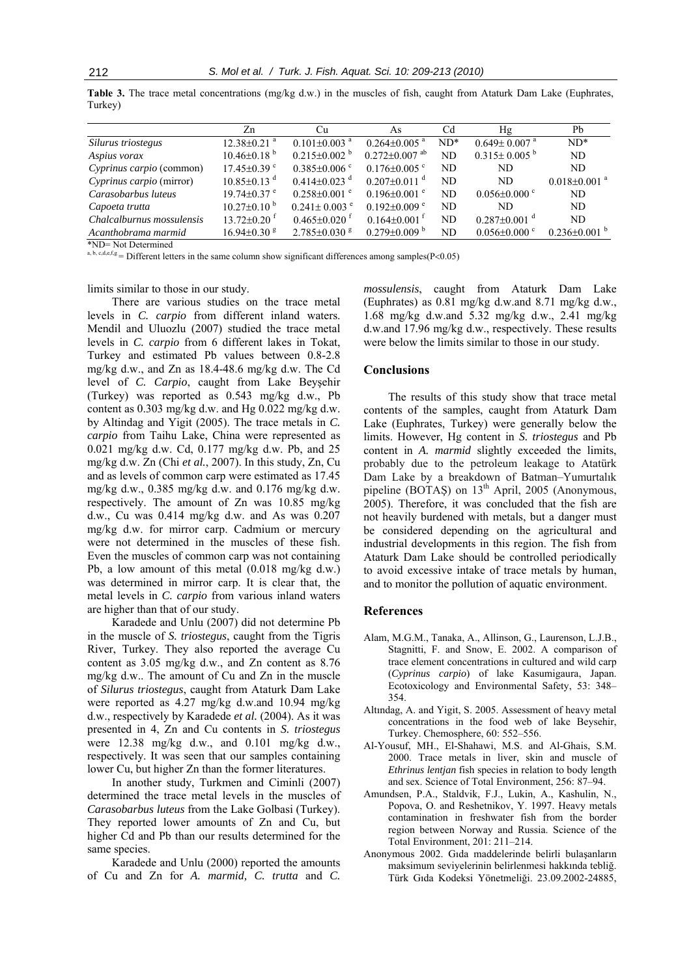|                           | Zn                            | Сu                             | As                              | Cd     | Hg                             | Pb                             |
|---------------------------|-------------------------------|--------------------------------|---------------------------------|--------|--------------------------------|--------------------------------|
| Silurus triostegus        | $12.38 \pm 0.21$ <sup>a</sup> | $0.101 \pm 0.003$ <sup>a</sup> | $0.264 \pm 0.005$ <sup>a</sup>  | $ND^*$ | $0.649 \pm 0.007$ <sup>a</sup> | $ND^*$                         |
| Aspius vorax              | $10.46 \pm 0.18^{b}$          | $0.215 \pm 0.002$ <sup>b</sup> | $0.272 \pm 0.007$ <sup>ab</sup> | ND     | $0.315 \pm 0.005^{b}$          | ND                             |
| Cyprinus carpio (common)  | $17.45 \pm 0.39$ °            | $0.385 \pm 0.006$ °            | $0.176 \pm 0.005$ °             | ND     | ND                             | ND.                            |
| Cyprinus carpio (mirror)  | $10.85 \pm 0.13$ <sup>d</sup> | $0.414 \pm 0.023$ <sup>d</sup> | $0.207 \pm 0.011$ <sup>d</sup>  | ND     | ND.                            | $0.018 \pm 0.001$ <sup>a</sup> |
| Carasobarbus luteus       | $19.74 \pm 0.37$ <sup>e</sup> | $0.258 \pm 0.001$ <sup>e</sup> | $0.196 \pm 0.001$ e             | ND     | $0.056 \pm 0.000$ °            | ND                             |
| Capoeta trutta            | $10.27 \pm 0.10^{b}$          | $0.241 \pm 0.003$ <sup>e</sup> | $0.192 \pm 0.009$ <sup>e</sup>  | ND     | ND                             | ND                             |
| Chalcalburnus mossulensis | $13.72 \pm 0.20$ <sup>f</sup> | $0.465 \pm 0.020$ <sup>t</sup> | $0.164 \pm 0.001$ <sup>f</sup>  | ND.    | $0.287 \pm 0.001$ <sup>d</sup> | ND                             |
| Acanthobrama marmid       | $16.94 \pm 0.30$ s            | $2.785 \pm 0.030$ $\rm{g}$     | $0.279 \pm 0.009$ <sup>b</sup>  | ND     | $0.056 \pm 0.000$ °            | $0.236 \pm 0.001$ <sup>b</sup> |
|                           |                               |                                |                                 |        |                                |                                |

**Table 3.** The trace metal concentrations (mg/kg d.w.) in the muscles of fish, caught from Ataturk Dam Lake (Euphrates, Turkey)

\*ND= Not Determined

a, b, c,d,e,f,g = Different letters in the same column show significant differences among samples( $P<0.05$ )

limits similar to those in our study.

There are various studies on the trace metal levels in *C. carpio* from different inland waters. Mendil and Uluozlu (2007) studied the trace metal levels in *C. carpio* from 6 different lakes in Tokat, Turkey and estimated Pb values between 0.8-2.8 mg/kg d.w., and Zn as 18.4-48.6 mg/kg d.w. The Cd level of *C. Carpio*, caught from Lake Beyşehir (Turkey) was reported as 0.543 mg/kg d.w., Pb content as 0.303 mg/kg d.w. and Hg 0.022 mg/kg d.w. by Altindag and Yigit (2005). The trace metals in *C. carpio* from Taihu Lake, China were represented as 0.021 mg/kg d.w. Cd, 0.177 mg/kg d.w. Pb, and 25 mg/kg d.w. Zn (Chi *et al.*, 2007). In this study, Zn, Cu and as levels of common carp were estimated as 17.45 mg/kg d.w., 0.385 mg/kg d.w. and 0.176 mg/kg d.w. respectively. The amount of Zn was 10.85 mg/kg d.w., Cu was 0.414 mg/kg d.w. and As was 0.207 mg/kg d.w. for mirror carp. Cadmium or mercury were not determined in the muscles of these fish. Even the muscles of common carp was not containing Pb, a low amount of this metal (0.018 mg/kg d.w.) was determined in mirror carp. It is clear that, the metal levels in *C. carpio* from various inland waters are higher than that of our study.

Karadede and Unlu (2007) did not determine Pb in the muscle of *S. triostegus*, caught from the Tigris River, Turkey. They also reported the average Cu content as 3.05 mg/kg d.w., and Zn content as 8.76 mg/kg d.w.. The amount of Cu and Zn in the muscle of *Silurus triostegus*, caught from Ataturk Dam Lake were reported as 4.27 mg/kg d.w.and 10.94 mg/kg d.w., respectively by Karadede *et al.* (2004). As it was presented in 4, Zn and Cu contents in *S. triostegus* were 12.38 mg/kg d.w., and 0.101 mg/kg d.w., respectively. It was seen that our samples containing lower Cu, but higher Zn than the former literatures.

In another study, Turkmen and Ciminli (2007) determined the trace metal levels in the muscles of *Carasobarbus luteus* from the Lake Golbasi (Turkey). They reported lower amounts of Zn and Cu, but higher Cd and Pb than our results determined for the same species.

Karadede and Unlu (2000) reported the amounts of Cu and Zn for *A. marmid, C. trutta* and *C.* 

*mossulensis*, caught from Ataturk Dam Lake (Euphrates) as 0.81 mg/kg d.w.and 8.71 mg/kg d.w., 1.68 mg/kg d.w.and 5.32 mg/kg d.w., 2.41 mg/kg d.w.and 17.96 mg/kg d.w., respectively. These results were below the limits similar to those in our study.

#### **Conclusions**

The results of this study show that trace metal contents of the samples, caught from Ataturk Dam Lake (Euphrates, Turkey) were generally below the limits. However, Hg content in *S. triostegus* and Pb content in *A. marmid* slightly exceeded the limits, probably due to the petroleum leakage to Atatürk Dam Lake by a breakdown of Batman–Yumurtalık pipeline (BOTAŞ) on  $13<sup>th</sup>$  April, 2005 (Anonymous, 2005). Therefore, it was concluded that the fish are not heavily burdened with metals, but a danger must be considered depending on the agricultural and industrial developments in this region. The fish from Ataturk Dam Lake should be controlled periodically to avoid excessive intake of trace metals by human, and to monitor the pollution of aquatic environment.

#### **References**

- Alam, M.G.M., Tanaka, A., Allinson, G., Laurenson, L.J.B., Stagnitti, F. and Snow, E. 2002. A comparison of trace element concentrations in cultured and wild carp (*Cyprinus carpio*) of lake Kasumigaura, Japan. Ecotoxicology and Environmental Safety, 53: 348– 354.
- Altındag, A. and Yigit, S. 2005. Assessment of heavy metal concentrations in the food web of lake Beysehir, Turkey. Chemosphere, 60: 552–556.
- Al-Yousuf, MH., El-Shahawi, M.S. and Al-Ghais, S.M. 2000. Trace metals in liver, skin and muscle of *Ethrinus lentjan* fish species in relation to body length and sex. Science of Total Environment, 256: 87–94.
- Amundsen, P.A., Staldvik, F.J., Lukin, A., Kashulin, N., Popova, O. and Reshetnikov, Y. 1997. Heavy metals contamination in freshwater fish from the border region between Norway and Russia. Science of the Total Environment, 201: 211–214.
- Anonymous 2002. Gıda maddelerinde belirli bulaşanların maksimum seviyelerinin belirlenmesi hakkında tebliğ. Türk Gıda Kodeksi Yönetmeliği. 23.09.2002-24885,